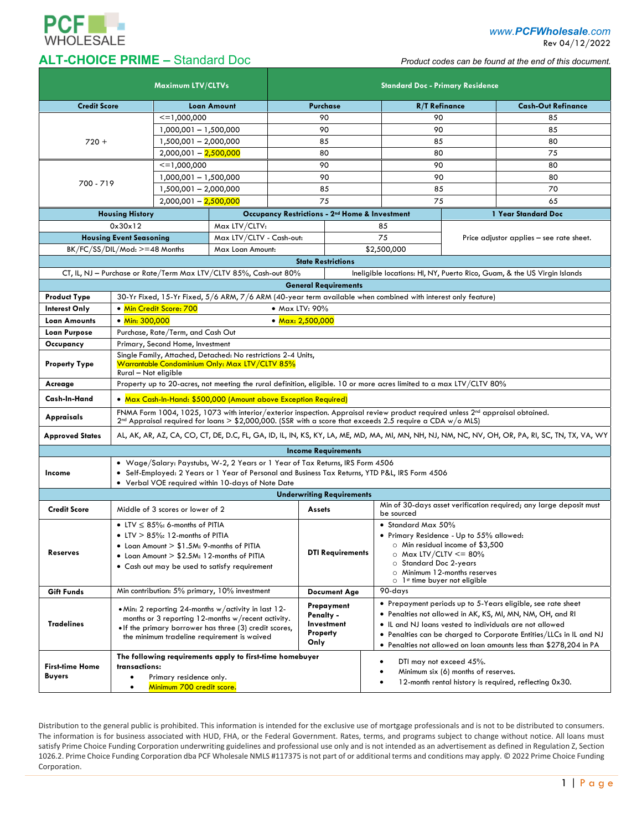

*www.PCFWholesale.com*

Rev 04/12/2022

## **ALT-CHOICE PRIME –** Standard Doc *Product codes can be found at the end of this document.*

| <b>Maximum LTV/CLTVs</b>                |                                                                                                                                                                                                                                                           |                                                          | <b>Standard Doc - Primary Residence</b>                           |          |                                                            |             |                                                                                                                                                             |                                          |                                                                                                                          |  |
|-----------------------------------------|-----------------------------------------------------------------------------------------------------------------------------------------------------------------------------------------------------------------------------------------------------------|----------------------------------------------------------|-------------------------------------------------------------------|----------|------------------------------------------------------------|-------------|-------------------------------------------------------------------------------------------------------------------------------------------------------------|------------------------------------------|--------------------------------------------------------------------------------------------------------------------------|--|
| <b>Credit Score</b>                     |                                                                                                                                                                                                                                                           | <b>Loan Amount</b>                                       |                                                                   | Purchase |                                                            |             | <b>R/T Refinance</b>                                                                                                                                        |                                          | <b>Cash-Out Refinance</b>                                                                                                |  |
|                                         |                                                                                                                                                                                                                                                           | $\leq$ = 1,000,000                                       |                                                                   | 90       |                                                            |             | 90                                                                                                                                                          |                                          | 85                                                                                                                       |  |
|                                         |                                                                                                                                                                                                                                                           | 1,000,001 - 1,500,000                                    |                                                                   | 90       |                                                            |             | 90                                                                                                                                                          |                                          | 85                                                                                                                       |  |
| $720 +$                                 |                                                                                                                                                                                                                                                           | 1,500,001 - 2,000,000                                    |                                                                   | 85       |                                                            |             | 85                                                                                                                                                          |                                          | 80                                                                                                                       |  |
|                                         |                                                                                                                                                                                                                                                           | $2,000,001 - 2,500,000$                                  |                                                                   | 80       |                                                            |             | 80                                                                                                                                                          |                                          | 75                                                                                                                       |  |
|                                         |                                                                                                                                                                                                                                                           | $\leq$ = 1,000,000                                       |                                                                   |          | 90                                                         |             | 90                                                                                                                                                          |                                          | 80                                                                                                                       |  |
|                                         |                                                                                                                                                                                                                                                           | 1,000,001 - 1,500,000                                    |                                                                   | 90       |                                                            |             | 90                                                                                                                                                          |                                          | 80                                                                                                                       |  |
| 700 - 719                               |                                                                                                                                                                                                                                                           | 1,500,001 - 2,000,000                                    |                                                                   | 85       |                                                            |             | 85                                                                                                                                                          |                                          | 70                                                                                                                       |  |
|                                         |                                                                                                                                                                                                                                                           |                                                          | $2,000,001 - 2,500,000$                                           |          | 75                                                         |             | 75                                                                                                                                                          |                                          | 65                                                                                                                       |  |
| <b>Housing History</b>                  |                                                                                                                                                                                                                                                           |                                                          |                                                                   |          | Occupancy Restrictions - 2 <sup>nd</sup> Home & Investment |             |                                                                                                                                                             |                                          | 1 Year Standard Doc                                                                                                      |  |
| 0x30x12                                 |                                                                                                                                                                                                                                                           |                                                          | Max LTV/CLTV:                                                     |          |                                                            |             | 85                                                                                                                                                          | Price adjustor applies - see rate sheet. |                                                                                                                          |  |
| <b>Housing Event Seasoning</b>          |                                                                                                                                                                                                                                                           |                                                          | Max LTV/CLTV - Cash-out:                                          |          | 75                                                         |             |                                                                                                                                                             |                                          |                                                                                                                          |  |
|                                         | BK/FC/SS/DIL/Mod: >=48 Months                                                                                                                                                                                                                             |                                                          | Max Loan Amount:                                                  |          |                                                            | \$2,500,000 |                                                                                                                                                             |                                          |                                                                                                                          |  |
|                                         |                                                                                                                                                                                                                                                           |                                                          |                                                                   |          | <b>State Restrictions</b>                                  |             |                                                                                                                                                             |                                          |                                                                                                                          |  |
|                                         |                                                                                                                                                                                                                                                           |                                                          | CT, IL, NJ - Purchase or Rate/Term Max LTV/CLTV 85%, Cash-out 80% |          |                                                            |             |                                                                                                                                                             |                                          | Ineligible locations: HI, NY, Puerto Rico, Guam, & the US Virgin Islands                                                 |  |
| <b>General Requirements</b>             |                                                                                                                                                                                                                                                           |                                                          |                                                                   |          |                                                            |             |                                                                                                                                                             |                                          |                                                                                                                          |  |
| <b>Product Type</b>                     |                                                                                                                                                                                                                                                           |                                                          |                                                                   |          |                                                            |             | 30-Yr Fixed, 15-Yr Fixed, 5/6 ARM, 7/6 ARM (40-year term available when combined with interest only feature)                                                |                                          |                                                                                                                          |  |
| <b>Interest Only</b>                    | • Min Credit Score: 700<br>• Max LTV: 90%                                                                                                                                                                                                                 |                                                          |                                                                   |          |                                                            |             |                                                                                                                                                             |                                          |                                                                                                                          |  |
| <b>Loan Amounts</b>                     | • Min: 300,000<br>• Max: 2,500,000                                                                                                                                                                                                                        |                                                          |                                                                   |          |                                                            |             |                                                                                                                                                             |                                          |                                                                                                                          |  |
| <b>Loan Purpose</b>                     | Purchase, Rate/Term, and Cash Out                                                                                                                                                                                                                         |                                                          |                                                                   |          |                                                            |             |                                                                                                                                                             |                                          |                                                                                                                          |  |
| Occupancy                               | Primary, Second Home, Investment<br>Single Family, Attached, Detached: No restrictions 2-4 Units,                                                                                                                                                         |                                                          |                                                                   |          |                                                            |             |                                                                                                                                                             |                                          |                                                                                                                          |  |
| <b>Property Type</b>                    | Warrantable Condominium Only: Max LTV/CLTV 85%                                                                                                                                                                                                            |                                                          |                                                                   |          |                                                            |             |                                                                                                                                                             |                                          |                                                                                                                          |  |
|                                         | Rural - Not eligible                                                                                                                                                                                                                                      |                                                          |                                                                   |          |                                                            |             |                                                                                                                                                             |                                          |                                                                                                                          |  |
| Acreage                                 | Property up to 20-acres, not meeting the rural definition, eligible. 10 or more acres limited to a max LTV/CLTV 80%                                                                                                                                       |                                                          |                                                                   |          |                                                            |             |                                                                                                                                                             |                                          |                                                                                                                          |  |
| Cash-In-Hand                            | • Max Cash-In-Hand: \$500,000 (Amount above Exception Required)                                                                                                                                                                                           |                                                          |                                                                   |          |                                                            |             |                                                                                                                                                             |                                          |                                                                                                                          |  |
| <b>Appraisals</b>                       | FNMA Form 1004, 1025, 1073 with interior/exterior inspection. Appraisal review product required unless 2 <sup>nd</sup> appraisal obtained.<br>$2nd$ Appraisal required for loans > \$2,000,000. (SSR with a score that exceeds 2.5 require a CDA w/o MLS) |                                                          |                                                                   |          |                                                            |             |                                                                                                                                                             |                                          |                                                                                                                          |  |
| Approved States                         | AL, AK, AR, AZ, CA, CO, CT, DE, D.C, FL, GA, ID, IL, IN, KS, KY, LA, ME, MD, MA, MI, MN, NH, NJ, NM, NC, NV, OH, OR, PA, RI, SC, TN, TX, VA, WY                                                                                                           |                                                          |                                                                   |          |                                                            |             |                                                                                                                                                             |                                          |                                                                                                                          |  |
|                                         |                                                                                                                                                                                                                                                           |                                                          |                                                                   |          | <b>Income Requirements</b>                                 |             |                                                                                                                                                             |                                          |                                                                                                                          |  |
| Income                                  | . Wage/Salary: Paystubs, W-2, 2 Years or 1 Year of Tax Returns, IRS Form 4506<br>· Self-Employed: 2 Years or 1 Year of Personal and Business Tax Returns, YTD P&L, IRS Form 4506<br>• Verbal VOE required within 10-days of Note Date                     |                                                          |                                                                   |          |                                                            |             |                                                                                                                                                             |                                          |                                                                                                                          |  |
|                                         |                                                                                                                                                                                                                                                           |                                                          |                                                                   |          | <b>Underwriting Requirements</b>                           |             |                                                                                                                                                             |                                          |                                                                                                                          |  |
| <b>Credit Score</b>                     | Middle of 3 scores or lower of 2                                                                                                                                                                                                                          |                                                          |                                                                   |          | <b>Assets</b>                                              |             | Min of 30-days asset verification required; any large deposit must<br>be sourced                                                                            |                                          |                                                                                                                          |  |
| Reserves                                |                                                                                                                                                                                                                                                           | • LTV $\leq$ 85%: 6-months of PITIA                      |                                                                   |          |                                                            |             | • Standard Max 50%<br>• Primary Residence - Up to 55% allowed:<br>O Min residual income of \$3,500<br>$\circ$ Max LTV/CLTV <= 80%<br>O Standard Doc 2-years |                                          |                                                                                                                          |  |
|                                         |                                                                                                                                                                                                                                                           | • LTV $> 85\%$ : 12-months of PITIA                      |                                                                   |          |                                                            |             |                                                                                                                                                             |                                          |                                                                                                                          |  |
|                                         |                                                                                                                                                                                                                                                           | • Loan Amount > \$1.5M: 9-months of PITIA                |                                                                   |          | <b>DTI Requirements</b>                                    |             |                                                                                                                                                             |                                          |                                                                                                                          |  |
|                                         |                                                                                                                                                                                                                                                           | • Loan Amount $> $2.5M$ : 12-months of PITIA             |                                                                   |          |                                                            |             |                                                                                                                                                             |                                          |                                                                                                                          |  |
|                                         |                                                                                                                                                                                                                                                           | • Cash out may be used to satisfy requirement            |                                                                   |          |                                                            |             | O Minimum 12-months reserves                                                                                                                                |                                          |                                                                                                                          |  |
|                                         |                                                                                                                                                                                                                                                           |                                                          |                                                                   |          |                                                            |             | $\circ$ 1 <sup>st</sup> time buyer not eligible                                                                                                             |                                          |                                                                                                                          |  |
| Gift Funds                              | Min contribution: 5% primary, 10% investment<br>90-days<br><b>Document Age</b>                                                                                                                                                                            |                                                          |                                                                   |          |                                                            |             |                                                                                                                                                             |                                          |                                                                                                                          |  |
| <b>Tradelines</b>                       |                                                                                                                                                                                                                                                           |                                                          | • Min: 2 reporting 24-months w/activity in last 12-               |          | Prepayment<br><b>Penalty -</b>                             |             |                                                                                                                                                             |                                          | • Prepayment periods up to 5-Years eligible, see rate sheet<br>• Penalties not allowed in AK, KS, MI, MN, NM, OH, and RI |  |
|                                         | months or 3 reporting 12-months w/recent activity.<br>• If the primary borrower has three (3) credit scores,<br>the minimum tradeline requirement is waived                                                                                               |                                                          |                                                                   |          | Investment<br>Property                                     |             | . IL and NJ loans vested to individuals are not allowed<br>• Penalties can be charged to Corporate Entities/LLCs in IL and NJ                               |                                          |                                                                                                                          |  |
|                                         |                                                                                                                                                                                                                                                           |                                                          |                                                                   |          |                                                            |             |                                                                                                                                                             |                                          |                                                                                                                          |  |
|                                         |                                                                                                                                                                                                                                                           | The following requirements apply to first-time homebuyer |                                                                   |          |                                                            |             | DTI may not exceed 45%.<br>$\bullet$                                                                                                                        |                                          |                                                                                                                          |  |
| <b>First-time Home</b><br><b>Buyers</b> | transactions:<br>$\bullet$                                                                                                                                                                                                                                |                                                          |                                                                   |          |                                                            |             | Minimum six (6) months of reserves.<br>٠                                                                                                                    |                                          |                                                                                                                          |  |
|                                         | Primary residence only.<br>Minimum 700 credit score.<br>$\bullet$                                                                                                                                                                                         |                                                          |                                                                   |          |                                                            |             | 12-month rental history is required, reflecting 0x30.<br>$\bullet$                                                                                          |                                          |                                                                                                                          |  |

Distribution to the general public is prohibited. This information is intended for the exclusive use of mortgage professionals and is not to be distributed to consumers. The information is for business associated with HUD, FHA, or the Federal Government. Rates, terms, and programs subject to change without notice. All loans must satisfy Prime Choice Funding Corporation underwriting guidelines and professional use only and is not intended as an advertisement as defined in Regulation Z, Section 1026.2. Prime Choice Funding Corporation dba PCF Wholesale NMLS #117375 is not part of or additional terms and conditions may apply. © 2022 Prime Choice Funding Corporation.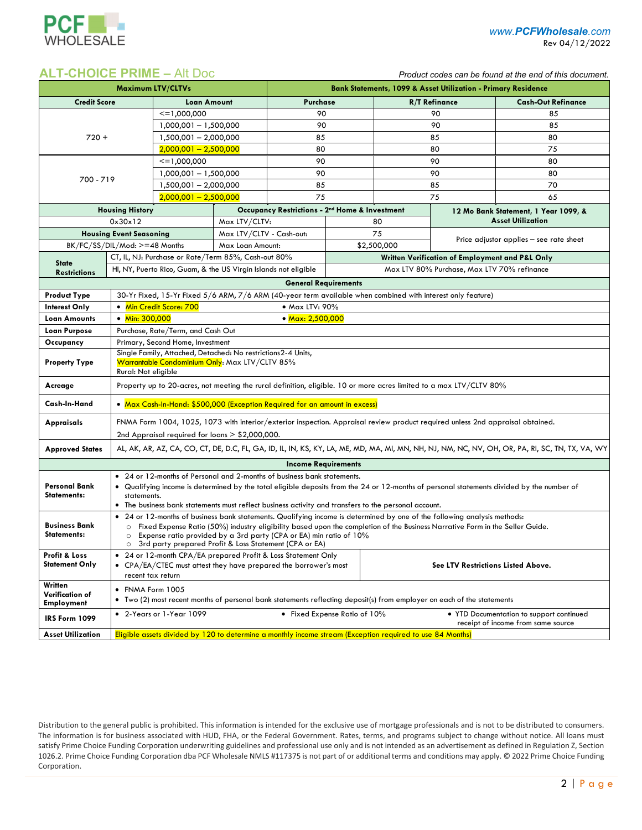

## **ALT-CHOICE PRIME –** Alt Doc *Product codes can be found at the end of this document.*

| <b>Maximum LTV/CLTVs</b>                                                                                                                                                                               |                                                                                                                                                 |                                                                                                                              | <b>Bank Statements, 1099 &amp; Asset Utilization - Primary Residence</b> |                                                                                                           |                                                 |                                    |                                         |                           |  |  |
|--------------------------------------------------------------------------------------------------------------------------------------------------------------------------------------------------------|-------------------------------------------------------------------------------------------------------------------------------------------------|------------------------------------------------------------------------------------------------------------------------------|--------------------------------------------------------------------------|-----------------------------------------------------------------------------------------------------------|-------------------------------------------------|------------------------------------|-----------------------------------------|---------------------------|--|--|
| <b>Credit Score</b>                                                                                                                                                                                    |                                                                                                                                                 | Loan Amount                                                                                                                  |                                                                          | Purchase                                                                                                  |                                                 | <b>R/T Refinance</b>               |                                         | <b>Cash-Out Refinance</b> |  |  |
|                                                                                                                                                                                                        |                                                                                                                                                 | $\le$ = 1.000.000                                                                                                            |                                                                          | 90                                                                                                        |                                                 |                                    | 90                                      | 85                        |  |  |
|                                                                                                                                                                                                        |                                                                                                                                                 | 1,000,001 - 1,500,000                                                                                                        |                                                                          | 90                                                                                                        |                                                 |                                    | 90                                      | 85                        |  |  |
| $720 +$                                                                                                                                                                                                |                                                                                                                                                 | 1,500,001 - 2,000,000                                                                                                        |                                                                          | 85                                                                                                        |                                                 | 85                                 |                                         | 80                        |  |  |
|                                                                                                                                                                                                        |                                                                                                                                                 | $2,000,001 - 2,500,000$                                                                                                      |                                                                          | 80                                                                                                        |                                                 | 80                                 |                                         | 75                        |  |  |
|                                                                                                                                                                                                        |                                                                                                                                                 | $\le$ = 1,000,000                                                                                                            |                                                                          | 90                                                                                                        |                                                 |                                    | 90                                      | 80                        |  |  |
| 700 - 719                                                                                                                                                                                              |                                                                                                                                                 | 1,000,001 - 1,500,000                                                                                                        |                                                                          | 90                                                                                                        |                                                 | 90                                 |                                         | 80                        |  |  |
|                                                                                                                                                                                                        |                                                                                                                                                 | 1,500,001 - 2,000,000                                                                                                        |                                                                          | 85                                                                                                        |                                                 | 85                                 |                                         | 70                        |  |  |
|                                                                                                                                                                                                        |                                                                                                                                                 | $2,000,001 - 2,500,000$                                                                                                      |                                                                          | 75                                                                                                        |                                                 | 75                                 |                                         | 65                        |  |  |
| <b>Housing History</b>                                                                                                                                                                                 |                                                                                                                                                 |                                                                                                                              | Occupancy Restrictions - 2 <sup>nd</sup> Home & Investment               |                                                                                                           |                                                 |                                    | 12 Mo Bank Statement, 1 Year 1099, &    |                           |  |  |
|                                                                                                                                                                                                        | 0x30x12                                                                                                                                         |                                                                                                                              | Max LTV/CLTV:                                                            |                                                                                                           | 80                                              |                                    | <b>Asset Utilization</b>                |                           |  |  |
| <b>Housing Event Seasoning</b>                                                                                                                                                                         |                                                                                                                                                 |                                                                                                                              | Max LTV/CLTV - Cash-out:                                                 |                                                                                                           |                                                 | 75                                 | Price adjustor applies - see rate sheet |                           |  |  |
|                                                                                                                                                                                                        | BK/FC/SS/DIL/Mod: >=48 Months                                                                                                                   |                                                                                                                              | Max Loan Amount:                                                         |                                                                                                           |                                                 | \$2,500,000                        |                                         |                           |  |  |
| <b>State</b>                                                                                                                                                                                           | CT, IL, NJ: Purchase or Rate/Term 85%, Cash-out 80%                                                                                             |                                                                                                                              |                                                                          |                                                                                                           | Written Verification of Employment and P&L Only |                                    |                                         |                           |  |  |
| <b>Restrictions</b>                                                                                                                                                                                    |                                                                                                                                                 | HI, NY, Puerto Rico, Guam, & the US Virgin Islands not eligible<br>Max LTV 80% Purchase, Max LTV 70% refinance               |                                                                          |                                                                                                           |                                                 |                                    |                                         |                           |  |  |
|                                                                                                                                                                                                        |                                                                                                                                                 |                                                                                                                              |                                                                          | <b>General Requirements</b>                                                                               |                                                 |                                    |                                         |                           |  |  |
| <b>Product Type</b>                                                                                                                                                                                    | 30-Yr Fixed, 15-Yr Fixed 5/6 ARM, 7/6 ARM (40-year term available when combined with interest only feature)                                     |                                                                                                                              |                                                                          |                                                                                                           |                                                 |                                    |                                         |                           |  |  |
| <b>Interest Only</b>                                                                                                                                                                                   | • Min Credit Score: 700<br>• Max LTV: 90%                                                                                                       |                                                                                                                              |                                                                          |                                                                                                           |                                                 |                                    |                                         |                           |  |  |
| Loan Amounts                                                                                                                                                                                           | • Min: $300.000$<br>• Max: 2,500,000                                                                                                            |                                                                                                                              |                                                                          |                                                                                                           |                                                 |                                    |                                         |                           |  |  |
| <b>Loan Purpose</b>                                                                                                                                                                                    | Purchase, Rate/Term, and Cash Out                                                                                                               |                                                                                                                              |                                                                          |                                                                                                           |                                                 |                                    |                                         |                           |  |  |
| Occupancy                                                                                                                                                                                              | Primary, Second Home, Investment                                                                                                                |                                                                                                                              |                                                                          |                                                                                                           |                                                 |                                    |                                         |                           |  |  |
| <b>Property Type</b>                                                                                                                                                                                   | Single Family, Attached, Detached: No restrictions2-4 Units,<br>Warrantable Condominium Only: Max LTV/CLTV 85%                                  |                                                                                                                              |                                                                          |                                                                                                           |                                                 |                                    |                                         |                           |  |  |
|                                                                                                                                                                                                        | Rural: Not eligible                                                                                                                             |                                                                                                                              |                                                                          |                                                                                                           |                                                 |                                    |                                         |                           |  |  |
| Acreage                                                                                                                                                                                                | Property up to 20-acres, not meeting the rural definition, eligible. 10 or more acres limited to a max LTV/CLTV 80%                             |                                                                                                                              |                                                                          |                                                                                                           |                                                 |                                    |                                         |                           |  |  |
| Cash-In-Hand                                                                                                                                                                                           | • Max Cash-In-Hand: \$500,000 (Exception Required for an amount in excess)                                                                      |                                                                                                                              |                                                                          |                                                                                                           |                                                 |                                    |                                         |                           |  |  |
| FNMA Form 1004, 1025, 1073 with interior/exterior inspection. Appraisal review product required unless 2nd appraisal obtained.<br><b>Appraisals</b>                                                    |                                                                                                                                                 |                                                                                                                              |                                                                          |                                                                                                           |                                                 |                                    |                                         |                           |  |  |
|                                                                                                                                                                                                        | 2nd Appraisal required for loans $> $2,000,000$ .                                                                                               |                                                                                                                              |                                                                          |                                                                                                           |                                                 |                                    |                                         |                           |  |  |
| <b>Approved States</b>                                                                                                                                                                                 | AL, AK, AR, AZ, CA, CO, CT, DE, D.C, FL, GA, ID, IL, IN, KS, KY, LA, ME, MD, MA, MI, MN, NH, NJ, NM, NC, NV, OH, OR, PA, RI, SC, TN, TX, VA, WY |                                                                                                                              |                                                                          |                                                                                                           |                                                 |                                    |                                         |                           |  |  |
|                                                                                                                                                                                                        |                                                                                                                                                 |                                                                                                                              |                                                                          | <b>Income Requirements</b>                                                                                |                                                 |                                    |                                         |                           |  |  |
|                                                                                                                                                                                                        | • 24 or 12-months of Personal and 2-months of business bank statements.                                                                         |                                                                                                                              |                                                                          |                                                                                                           |                                                 |                                    |                                         |                           |  |  |
| <b>Personal Bank</b><br>• Qualifying income is determined by the total eligible deposits from the 24 or 12-months of personal statements divided by the number of<br><b>Statements:</b><br>statements. |                                                                                                                                                 |                                                                                                                              |                                                                          |                                                                                                           |                                                 |                                    |                                         |                           |  |  |
|                                                                                                                                                                                                        | • The business bank statements must reflect business activity and transfers to the personal account.                                            |                                                                                                                              |                                                                          |                                                                                                           |                                                 |                                    |                                         |                           |  |  |
|                                                                                                                                                                                                        | • 24 or 12-months of business bank statements. Qualifying income is determined by one of the following analysis methods:                        |                                                                                                                              |                                                                          |                                                                                                           |                                                 |                                    |                                         |                           |  |  |
| <b>Business Bank</b>                                                                                                                                                                                   | o Fixed Expense Ratio (50%) industry eligibility based upon the completion of the Business Narrative Form in the Seller Guide.                  |                                                                                                                              |                                                                          |                                                                                                           |                                                 |                                    |                                         |                           |  |  |
| Statements:                                                                                                                                                                                            | $\circ$<br>$\circ$                                                                                                                              | Expense ratio provided by a 3rd party (CPA or EA) min ratio of 10%<br>3rd party prepared Profit & Loss Statement (CPA or EA) |                                                                          |                                                                                                           |                                                 |                                    |                                         |                           |  |  |
| <b>Profit &amp; Loss</b>                                                                                                                                                                               |                                                                                                                                                 |                                                                                                                              |                                                                          | • 24 or 12-month CPA/EA prepared Profit & Loss Statement Only                                             |                                                 |                                    |                                         |                           |  |  |
| <b>Statement Only</b>                                                                                                                                                                                  |                                                                                                                                                 |                                                                                                                              |                                                                          | • CPA/EA/CTEC must attest they have prepared the borrower's most                                          |                                                 | See LTV Restrictions Listed Above. |                                         |                           |  |  |
| Written                                                                                                                                                                                                | recent tax return                                                                                                                               |                                                                                                                              |                                                                          |                                                                                                           |                                                 |                                    |                                         |                           |  |  |
| Verification of                                                                                                                                                                                        |                                                                                                                                                 | • FNMA Form 1005                                                                                                             |                                                                          |                                                                                                           |                                                 |                                    |                                         |                           |  |  |
| <b>Employment</b>                                                                                                                                                                                      | Two (2) most recent months of personal bank statements reflecting deposit(s) from employer on each of the statements                            |                                                                                                                              |                                                                          |                                                                                                           |                                                 |                                    |                                         |                           |  |  |
| <b>IRS Form 1099</b>                                                                                                                                                                                   | • 2-Years or 1-Year 1099<br>• Fixed Expense Ratio of 10%<br>• YTD Documentation to support continued<br>receipt of income from same source      |                                                                                                                              |                                                                          |                                                                                                           |                                                 |                                    |                                         |                           |  |  |
| <b>Asset Utilization</b>                                                                                                                                                                               |                                                                                                                                                 |                                                                                                                              |                                                                          | Eligible assets divided by 120 to determine a monthly income stream (Exception required to use 84 Months) |                                                 |                                    |                                         |                           |  |  |

Distribution to the general public is prohibited. This information is intended for the exclusive use of mortgage professionals and is not to be distributed to consumers. The information is for business associated with HUD, FHA, or the Federal Government. Rates, terms, and programs subject to change without notice. All loans must satisfy Prime Choice Funding Corporation underwriting guidelines and professional use only and is not intended as an advertisement as defined in Regulation Z, Section 1026.2. Prime Choice Funding Corporation dba PCF Wholesale NMLS #117375 is not part of or additional terms and conditions may apply. © 2022 Prime Choice Funding Corporation.